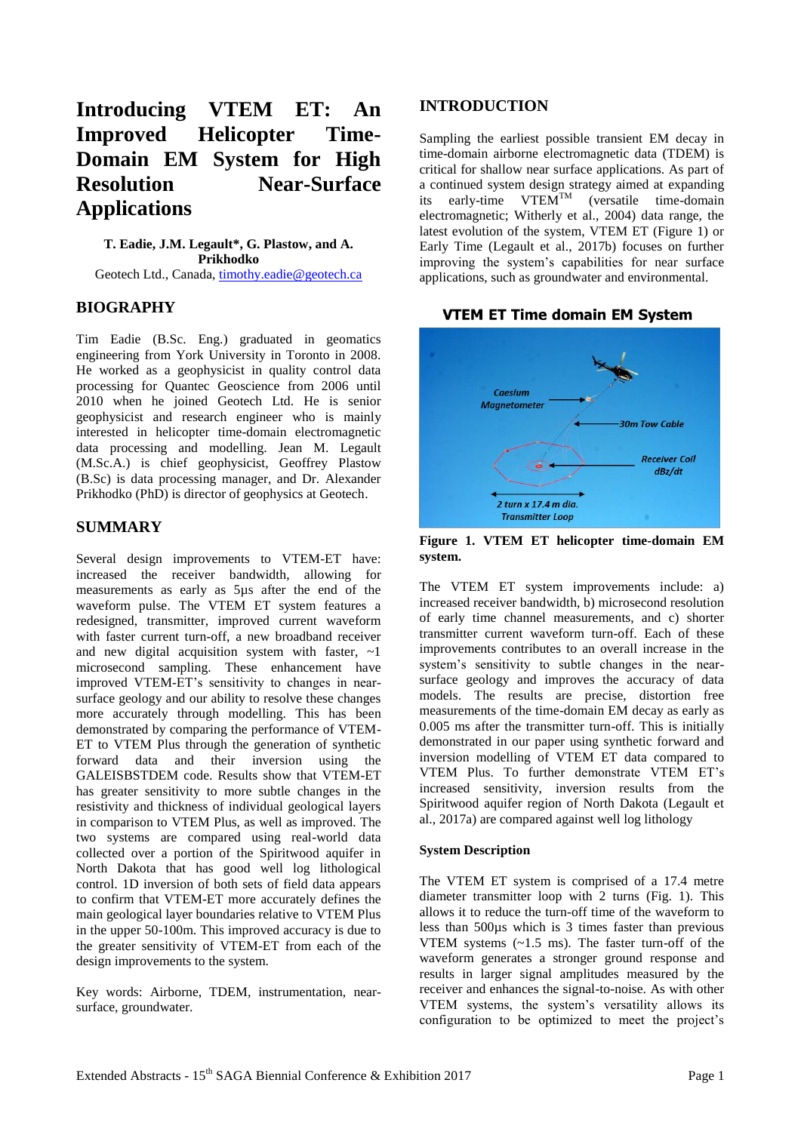# **Introducing VTEM ET: An Improved Helicopter Time-Domain EM System for High Resolution Near-Surface Applications**

**T. Eadie, J.M. Legault\*, G. Plastow, and A. Prikhodko** Geotech Ltd., Canada, [timothy.eadie@geotech.ca](mailto:timothy.eadie@geotech.ca)

## **BIOGRAPHY**

Tim Eadie (B.Sc. Eng.) graduated in geomatics engineering from York University in Toronto in 2008. He worked as a geophysicist in quality control data processing for Quantec Geoscience from 2006 until 2010 when he joined Geotech Ltd. He is senior geophysicist and research engineer who is mainly interested in helicopter time-domain electromagnetic data processing and modelling. Jean M. Legault (M.Sc.A.) is chief geophysicist, Geoffrey Plastow (B.Sc) is data processing manager, and Dr. Alexander Prikhodko (PhD) is director of geophysics at Geotech.

## **SUMMARY**

Several design improvements to VTEM-ET have: increased the receiver bandwidth, allowing for measurements as early as 5µs after the end of the waveform pulse. The VTEM ET system features a redesigned, transmitter, improved current waveform with faster current turn-off, a new broadband receiver and new digital acquisition system with faster,  $\sim$ 1 microsecond sampling. These enhancement have improved VTEM-ET's sensitivity to changes in nearsurface geology and our ability to resolve these changes more accurately through modelling. This has been demonstrated by comparing the performance of VTEM-ET to VTEM Plus through the generation of synthetic forward data and their inversion using the GALEISBSTDEM code. Results show that VTEM-ET has greater sensitivity to more subtle changes in the resistivity and thickness of individual geological layers in comparison to VTEM Plus, as well as improved. The two systems are compared using real-world data collected over a portion of the Spiritwood aquifer in North Dakota that has good well log lithological control. 1D inversion of both sets of field data appears to confirm that VTEM-ET more accurately defines the main geological layer boundaries relative to VTEM Plus in the upper 50-100m. This improved accuracy is due to the greater sensitivity of VTEM-ET from each of the design improvements to the system.

Key words: Airborne, TDEM, instrumentation, nearsurface, groundwater.

## **INTRODUCTION**

Sampling the earliest possible transient EM decay in time-domain airborne electromagnetic data (TDEM) is critical for shallow near surface applications. As part of a continued system design strategy aimed at expanding its early-time  $VTEM^{TM}$  (versatile time-domain electromagnetic; Witherly et al., 2004) data range, the latest evolution of the system, VTEM ET (Figure 1) or Early Time (Legault et al., 2017b) focuses on further improving the system's capabilities for near surface applications, such as groundwater and environmental.

#### **VTEM ET Time domain EM System**



**Figure 1. VTEM ET helicopter time-domain EM system.**

The VTEM ET system improvements include: a) increased receiver bandwidth, b) microsecond resolution of early time channel measurements, and c) shorter transmitter current waveform turn-off. Each of these improvements contributes to an overall increase in the system's sensitivity to subtle changes in the nearsurface geology and improves the accuracy of data models. The results are precise, distortion free measurements of the time-domain EM decay as early as 0.005 ms after the transmitter turn-off. This is initially demonstrated in our paper using synthetic forward and inversion modelling of VTEM ET data compared to VTEM Plus. To further demonstrate VTEM ET's increased sensitivity, inversion results from the Spiritwood aquifer region of North Dakota (Legault et al., 2017a) are compared against well log lithology

#### **System Description**

The VTEM ET system is comprised of a 17.4 metre diameter transmitter loop with 2 turns (Fig. 1). This allows it to reduce the turn-off time of the waveform to less than 500µs which is 3 times faster than previous VTEM systems (~1.5 ms). The faster turn-off of the waveform generates a stronger ground response and results in larger signal amplitudes measured by the receiver and enhances the signal-to-noise. As with other VTEM systems, the system's versatility allows its configuration to be optimized to meet the project's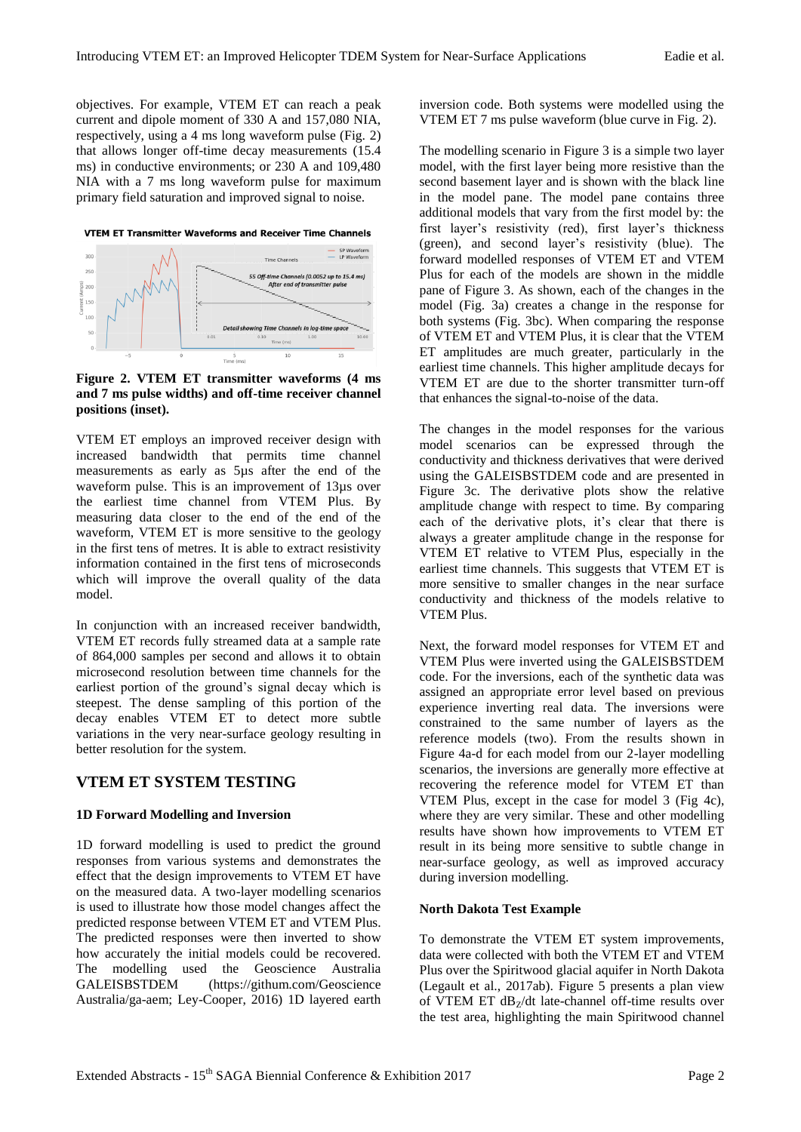objectives. For example, VTEM ET can reach a peak current and dipole moment of 330 A and 157,080 NIA, respectively, using a 4 ms long waveform pulse (Fig. 2) that allows longer off-time decay measurements (15.4 ms) in conductive environments; or 230 A and 109,480 NIA with a 7 ms long waveform pulse for maximum primary field saturation and improved signal to noise.

**VTEM ET Transmitter Waveforms and Receiver Time Channels** 



**Figure 2. VTEM ET transmitter waveforms (4 ms and 7 ms pulse widths) and off-time receiver channel positions (inset).**

VTEM ET employs an improved receiver design with increased bandwidth that permits time channel measurements as early as 5µs after the end of the waveform pulse. This is an improvement of 13µs over the earliest time channel from VTEM Plus. By measuring data closer to the end of the end of the waveform, VTEM ET is more sensitive to the geology in the first tens of metres. It is able to extract resistivity information contained in the first tens of microseconds which will improve the overall quality of the data model.

In conjunction with an increased receiver bandwidth, VTEM ET records fully streamed data at a sample rate of 864,000 samples per second and allows it to obtain microsecond resolution between time channels for the earliest portion of the ground's signal decay which is steepest. The dense sampling of this portion of the decay enables VTEM ET to detect more subtle variations in the very near-surface geology resulting in better resolution for the system.

#### **VTEM ET SYSTEM TESTING**

#### **1D Forward Modelling and Inversion**

1D forward modelling is used to predict the ground responses from various systems and demonstrates the effect that the design improvements to VTEM ET have on the measured data. A two-layer modelling scenarios is used to illustrate how those model changes affect the predicted response between VTEM ET and VTEM Plus. The predicted responses were then inverted to show how accurately the initial models could be recovered. The modelling used the Geoscience Australia GALEISBSTDEM [\(https://githum.com/Geoscience](https://githum.com/Geoscience) Australia/ga-aem; Ley-Cooper, 2016) 1D layered earth inversion code. Both systems were modelled using the VTEM ET 7 ms pulse waveform (blue curve in Fig. 2).

The modelling scenario in Figure 3 is a simple two layer model, with the first layer being more resistive than the second basement layer and is shown with the black line in the model pane. The model pane contains three additional models that vary from the first model by: the first layer's resistivity (red), first layer's thickness (green), and second layer's resistivity (blue). The forward modelled responses of VTEM ET and VTEM Plus for each of the models are shown in the middle pane of Figure 3. As shown, each of the changes in the model (Fig. 3a) creates a change in the response for both systems (Fig. 3bc). When comparing the response of VTEM ET and VTEM Plus, it is clear that the VTEM ET amplitudes are much greater, particularly in the earliest time channels. This higher amplitude decays for VTEM ET are due to the shorter transmitter turn-off that enhances the signal-to-noise of the data.

The changes in the model responses for the various model scenarios can be expressed through the conductivity and thickness derivatives that were derived using the GALEISBSTDEM code and are presented in Figure 3c. The derivative plots show the relative amplitude change with respect to time. By comparing each of the derivative plots, it's clear that there is always a greater amplitude change in the response for VTEM ET relative to VTEM Plus, especially in the earliest time channels. This suggests that VTEM ET is more sensitive to smaller changes in the near surface conductivity and thickness of the models relative to VTEM Plus.

Next, the forward model responses for VTEM ET and VTEM Plus were inverted using the GALEISBSTDEM code. For the inversions, each of the synthetic data was assigned an appropriate error level based on previous experience inverting real data. The inversions were constrained to the same number of layers as the reference models (two). From the results shown in Figure 4a-d for each model from our 2-layer modelling scenarios, the inversions are generally more effective at recovering the reference model for VTEM ET than VTEM Plus, except in the case for model 3 (Fig 4c), where they are very similar. These and other modelling results have shown how improvements to VTEM ET result in its being more sensitive to subtle change in near-surface geology, as well as improved accuracy during inversion modelling.

#### **North Dakota Test Example**

To demonstrate the VTEM ET system improvements, data were collected with both the VTEM ET and VTEM Plus over the Spiritwood glacial aquifer in North Dakota (Legault et al., 2017ab). Figure 5 presents a plan view of VTEM ET  $dB$ <sub>7</sub>/dt late-channel off-time results over the test area, highlighting the main Spiritwood channel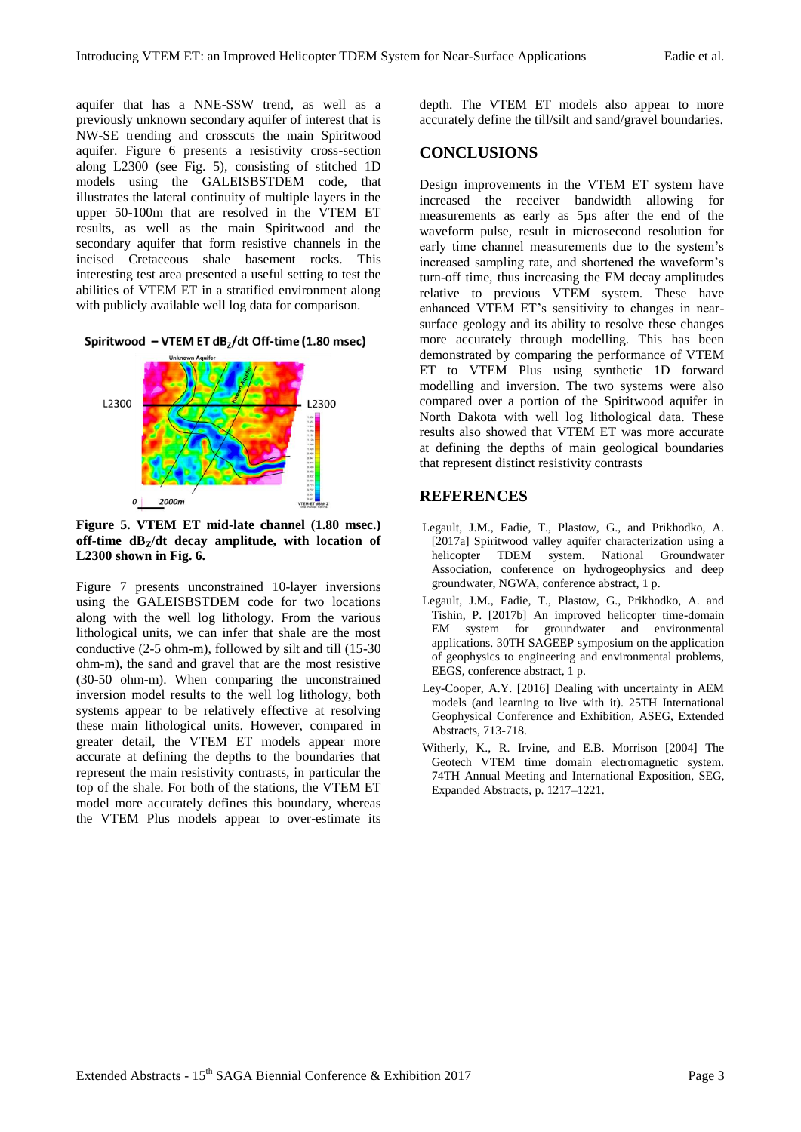aquifer that has a NNE-SSW trend, as well as a previously unknown secondary aquifer of interest that is NW-SE trending and crosscuts the main Spiritwood aquifer. Figure 6 presents a resistivity cross-section along L2300 (see Fig. 5), consisting of stitched 1D models using the GALEISBSTDEM code, that illustrates the lateral continuity of multiple layers in the upper 50-100m that are resolved in the VTEM ET results, as well as the main Spiritwood and the secondary aquifer that form resistive channels in the incised Cretaceous shale basement rocks. This interesting test area presented a useful setting to test the abilities of VTEM ET in a stratified environment along with publicly available well log data for comparison.





**Figure 5. VTEM ET mid-late channel (1.80 msec.) off-time dBZ/dt decay amplitude, with location of L2300 shown in Fig. 6.**

Figure 7 presents unconstrained 10-layer inversions using the GALEISBSTDEM code for two locations along with the well log lithology. From the various lithological units, we can infer that shale are the most conductive (2-5 ohm-m), followed by silt and till (15-30 ohm-m), the sand and gravel that are the most resistive (30-50 ohm-m). When comparing the unconstrained inversion model results to the well log lithology, both systems appear to be relatively effective at resolving these main lithological units. However, compared in greater detail, the VTEM ET models appear more accurate at defining the depths to the boundaries that represent the main resistivity contrasts, in particular the top of the shale. For both of the stations, the VTEM ET model more accurately defines this boundary, whereas the VTEM Plus models appear to over-estimate its depth. The VTEM ET models also appear to more accurately define the till/silt and sand/gravel boundaries.

### **CONCLUSIONS**

Design improvements in the VTEM ET system have increased the receiver bandwidth allowing for measurements as early as 5µs after the end of the waveform pulse, result in microsecond resolution for early time channel measurements due to the system's increased sampling rate, and shortened the waveform's turn-off time, thus increasing the EM decay amplitudes relative to previous VTEM system. These have enhanced VTEM ET's sensitivity to changes in nearsurface geology and its ability to resolve these changes more accurately through modelling. This has been demonstrated by comparing the performance of VTEM ET to VTEM Plus using synthetic 1D forward modelling and inversion. The two systems were also compared over a portion of the Spiritwood aquifer in North Dakota with well log lithological data. These results also showed that VTEM ET was more accurate at defining the depths of main geological boundaries that represent distinct resistivity contrasts

## **REFERENCES**

- Legault, J.M., Eadie, T., Plastow, G., and Prikhodko, A. [2017a] Spiritwood valley aquifer characterization using a helicopter TDEM system. National Groundwater Association, conference on hydrogeophysics and deep groundwater, NGWA, conference abstract, 1 p.
- Legault, J.M., Eadie, T., Plastow, G., Prikhodko, A. and Tishin, P. [2017b] An improved helicopter time-domain EM system for groundwater and environmental applications. 30TH SAGEEP symposium on the application of geophysics to engineering and environmental problems, EEGS, conference abstract, 1 p.
- Ley-Cooper, A.Y. [2016] Dealing with uncertainty in AEM models (and learning to live with it). 25TH International Geophysical Conference and Exhibition, ASEG, Extended Abstracts, 713-718.
- Witherly, K., R. Irvine, and E.B. Morrison [2004] The Geotech VTEM time domain electromagnetic system. 74TH Annual Meeting and International Exposition, SEG, Expanded Abstracts, p. 1217–1221.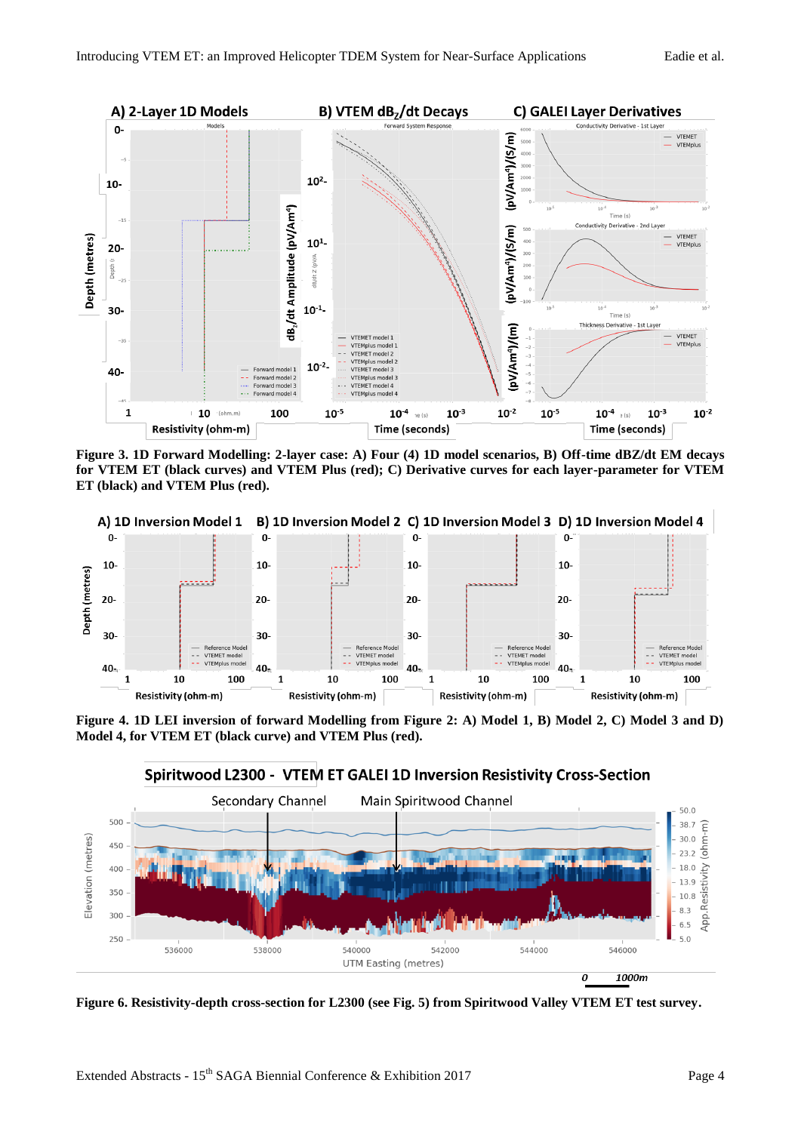

**Figure 3. 1D Forward Modelling: 2-layer case: A) Four (4) 1D model scenarios, B) Off-time dBZ/dt EM decays for VTEM ET (black curves) and VTEM Plus (red); C) Derivative curves for each layer-parameter for VTEM ET (black) and VTEM Plus (red).**



**Figure 4. 1D LEI inversion of forward Modelling from Figure 2: A) Model 1, B) Model 2, C) Model 3 and D) Model 4, for VTEM ET (black curve) and VTEM Plus (red).**





**Figure 6. Resistivity-depth cross-section for L2300 (see Fig. 5) from Spiritwood Valley VTEM ET test survey.**